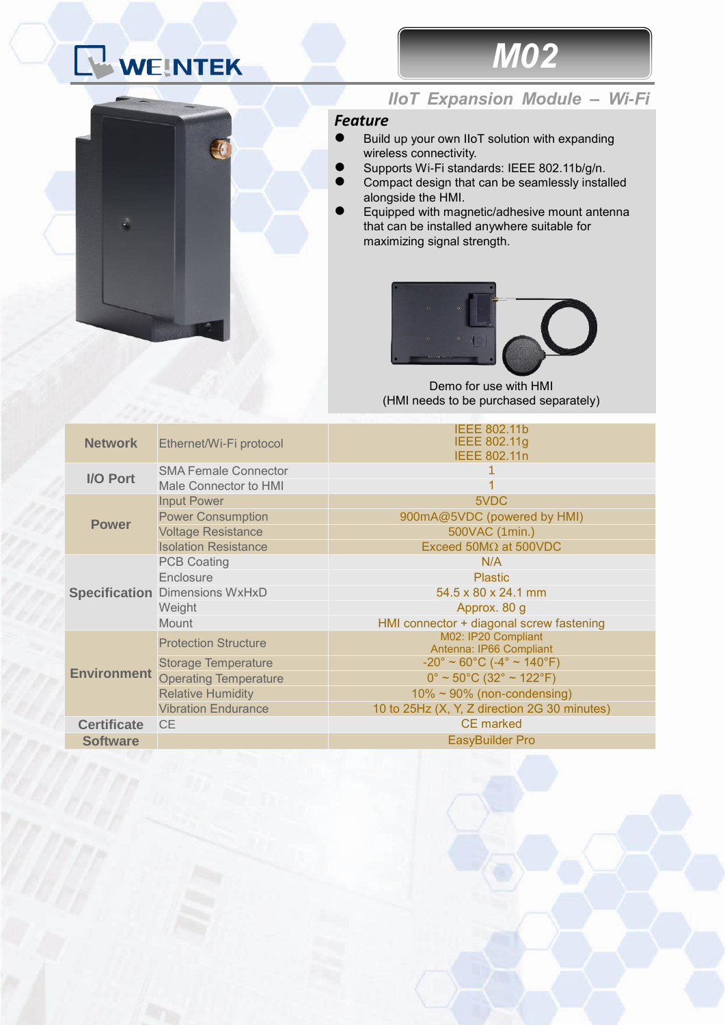## WEINTEK



## *IIoT Expansion Module – Wi-Fi*

*M02*

## *Feature*

- ⚫ Build up your own IIoT solution with expanding wireless connectivity.
- ⚫ Supports Wi-Fi standards: IEEE 802.11b/g/n.
- Compact design that can be seamlessly installed alongside the HMI.
- ⚫ Equipped with magnetic/adhesive mount antenna that can be installed anywhere suitable for maximizing signal strength.



Demo for use with HMI (HMI needs to be purchased separately)

| <b>Network</b>     | Ethernet/Wi-Fi protocol               | <b>IEEE 802.11b</b><br><b>IEEE 802.11g</b><br><b>IEEE 802.11n</b>  |
|--------------------|---------------------------------------|--------------------------------------------------------------------|
| I/O Port           | <b>SMA Female Connector</b>           |                                                                    |
|                    | Male Connector to HMI                 |                                                                    |
| <b>Power</b>       | <b>Input Power</b>                    | 5VDC                                                               |
|                    | <b>Power Consumption</b>              | 900mA@5VDC (powered by HMI)                                        |
|                    | <b>Voltage Resistance</b>             | 500VAC (1min.)                                                     |
|                    | <b>Isolation Resistance</b>           | Exceed $50M\Omega$ at $500VDC$                                     |
|                    | <b>PCB Coating</b>                    | N/A                                                                |
|                    | Enclosure                             | <b>Plastic</b>                                                     |
|                    | <b>Specification Dimensions WxHxD</b> | 54.5 x 80 x 24.1 mm                                                |
|                    | Weight                                | Approx. 80 g                                                       |
|                    | <b>Mount</b>                          | HMI connector + diagonal screw fastening                           |
| <b>Environment</b> | <b>Protection Structure</b>           | M02: IP20 Compliant                                                |
|                    |                                       | Antenna: IP66 Compliant                                            |
|                    | <b>Storage Temperature</b>            | $-20^{\circ} \sim 60^{\circ}$ C ( $-4^{\circ} \sim 140^{\circ}$ F) |
|                    | <b>Operating Temperature</b>          | $0^{\circ}$ ~ 50 $^{\circ}$ C (32 $^{\circ}$ ~ 122 $^{\circ}$ F)   |
|                    | <b>Relative Humidity</b>              | $10\% \sim 90\%$ (non-condensing)                                  |
|                    | <b>Vibration Endurance</b>            | 10 to 25Hz (X, Y, Z direction 2G 30 minutes)                       |
| <b>Certificate</b> | <b>CE</b>                             | <b>CE</b> marked                                                   |
| <b>Software</b>    |                                       | EasyBuilder Pro                                                    |
|                    |                                       |                                                                    |